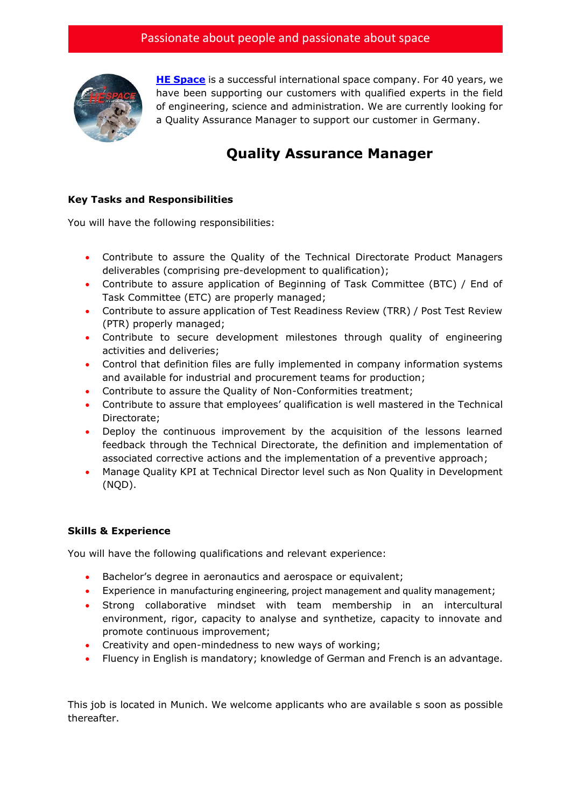

**[HE Space](http://www.hespace.com/)** is a successful international space company. For 40 years, we have been supporting our customers with qualified experts in the field of engineering, science and administration. We are currently looking for a Quality Assurance Manager to support our customer in Germany.

## **Quality Assurance Manager**

## **Key Tasks and Responsibilities**

You will have the following responsibilities:

- Contribute to assure the Quality of the Technical Directorate Product Managers deliverables (comprising pre-development to qualification);
- Contribute to assure application of Beginning of Task Committee (BTC) / End of Task Committee (ETC) are properly managed;
- Contribute to assure application of Test Readiness Review (TRR) / Post Test Review (PTR) properly managed;
- Contribute to secure development milestones through quality of engineering activities and deliveries;
- Control that definition files are fully implemented in company information systems and available for industrial and procurement teams for production;
- Contribute to assure the Quality of Non-Conformities treatment;
- Contribute to assure that employees' qualification is well mastered in the Technical Directorate;
- Deploy the continuous improvement by the acquisition of the lessons learned feedback through the Technical Directorate, the definition and implementation of associated corrective actions and the implementation of a preventive approach;
- Manage Quality KPI at Technical Director level such as Non Quality in Development (NQD).

## **Skills & Experience**

You will have the following qualifications and relevant experience:

- Bachelor's degree in aeronautics and aerospace or equivalent;
- Experience in manufacturing engineering, project management and quality management;
- Strong collaborative mindset with team membership in an intercultural environment, rigor, capacity to analyse and synthetize, capacity to innovate and promote continuous improvement;
- Creativity and open-mindedness to new ways of working;
- Fluency in English is mandatory; knowledge of German and French is an advantage.

This job is located in Munich. We welcome applicants who are available s soon as possible thereafter.